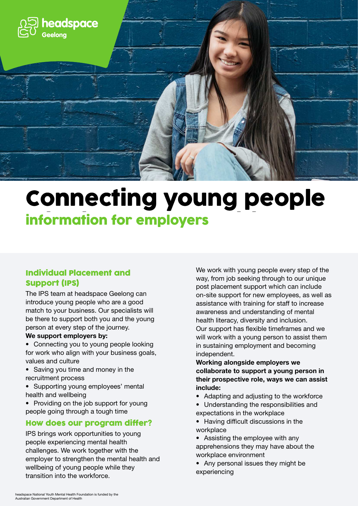

# Connecting young people information for employers

## Individual Placement and<br>Support (IPS)

The IPS team at headspace Geelong can introduce young people who are a good match to your business. Our specialists will be there to support both you and the young person at every step of the journey.

#### We support employers by:

- Connecting you to young people looking for work who align with your business goals, values and culture
- Saving you time and money in the recruitment process
- Supporting young employees' mental health and wellbeing
- Providing on the job support for young people going through a tough time

#### How does our program differ?

IPS brings work opportunities to young people experiencing mental health challenges. We work together with the employer to strengthen the mental health and wellbeing of young people while they transition into the workforce.

We work with young people every step of the way, from job seeking through to our unique post placement support which can include on-site support for new employees, as well as assistance with training for staff to increase awareness and understanding of mental health literacy, diversity and inclusion. Our support has flexible timeframes and we will work with a young person to assist them in sustaining employment and becoming independent.

Working alongside employers we collaborate to support a young person in their prospective role, ways we can assist include:

- Adapting and adjusting to the workforce
- Understanding the responsibilities and expectations in the workplace
- Having difficult discussions in the workplace
- Assisting the employee with any apprehensions they may have about the workplace environment
- Any personal issues they might be experiencing